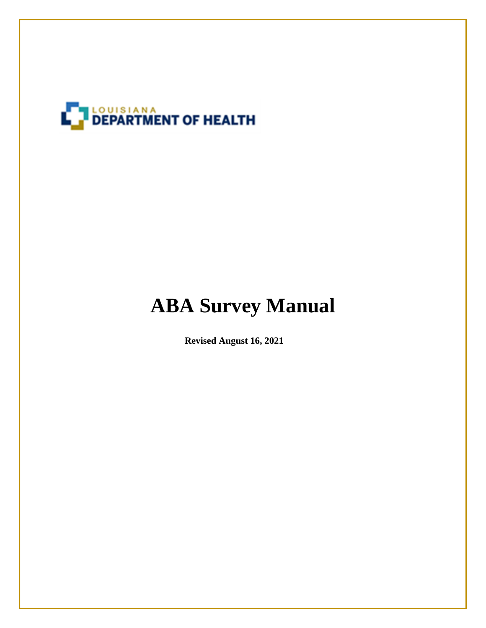

# **ABA Survey Manual**

**Revised August 16, 2021**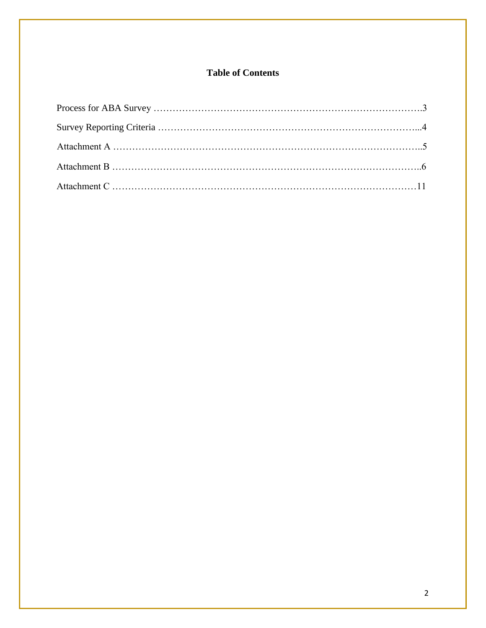## **Table of Contents**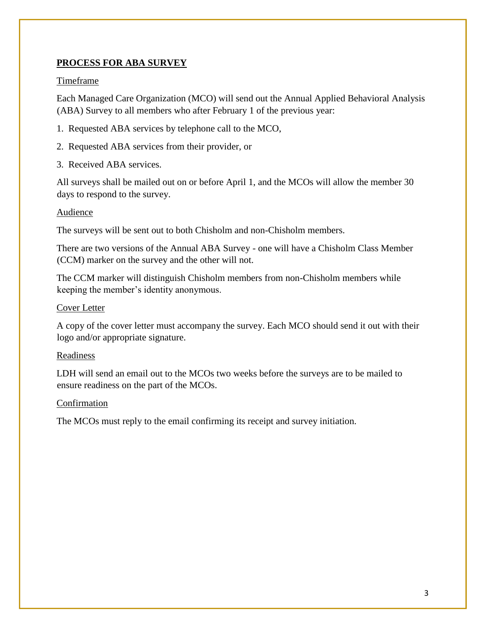### **PROCESS FOR ABA SURVEY**

#### **Timeframe**

Each Managed Care Organization (MCO) will send out the Annual Applied Behavioral Analysis (ABA) Survey to all members who after February 1 of the previous year:

- 1. Requested ABA services by telephone call to the MCO,
- 2. Requested ABA services from their provider, or
- 3. Received ABA services.

All surveys shall be mailed out on or before April 1, and the MCOs will allow the member 30 days to respond to the survey.

#### Audience

The surveys will be sent out to both Chisholm and non-Chisholm members.

There are two versions of the Annual ABA Survey - one will have a Chisholm Class Member (CCM) marker on the survey and the other will not.

The CCM marker will distinguish Chisholm members from non-Chisholm members while keeping the member's identity anonymous.

#### Cover Letter

A copy of the cover letter must accompany the survey. Each MCO should send it out with their logo and/or appropriate signature.

#### Readiness

LDH will send an email out to the MCOs two weeks before the surveys are to be mailed to ensure readiness on the part of the MCOs.

#### Confirmation

The MCOs must reply to the email confirming its receipt and survey initiation.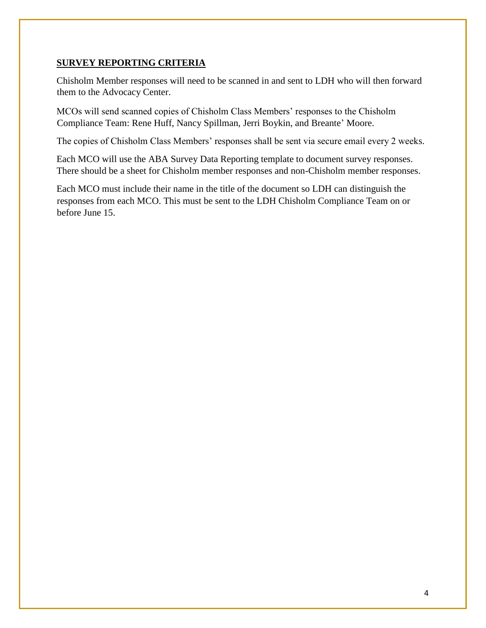#### **SURVEY REPORTING CRITERIA**

Chisholm Member responses will need to be scanned in and sent to LDH who will then forward them to the Advocacy Center.

MCOs will send scanned copies of Chisholm Class Members' responses to the Chisholm Compliance Team: Rene Huff, Nancy Spillman, Jerri Boykin, and Breante' Moore.

The copies of Chisholm Class Members' responses shall be sent via secure email every 2 weeks.

Each MCO will use the ABA Survey Data Reporting template to document survey responses. There should be a sheet for Chisholm member responses and non-Chisholm member responses.

Each MCO must include their name in the title of the document so LDH can distinguish the responses from each MCO. This must be sent to the LDH Chisholm Compliance Team on or before June 15.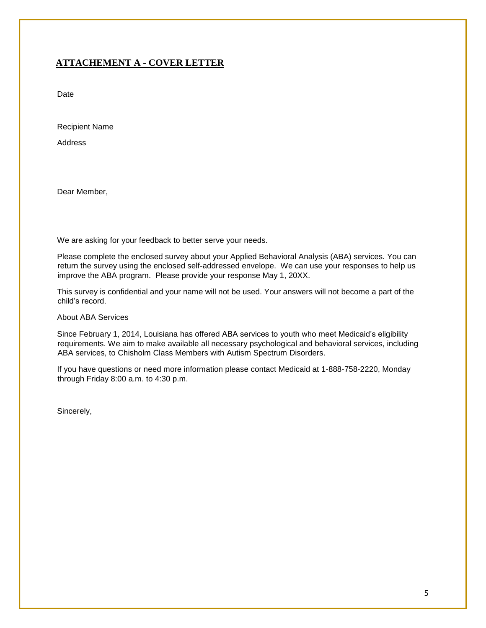## **ATTACHEMENT A - COVER LETTER**

Date

Recipient Name

**Address** 

Dear Member,

We are asking for your feedback to better serve your needs.

Please complete the enclosed survey about your Applied Behavioral Analysis (ABA) services. You can return the survey using the enclosed self-addressed envelope. We can use your responses to help us improve the ABA program. Please provide your response May 1, 20XX.

This survey is confidential and your name will not be used. Your answers will not become a part of the child's record.

About ABA Services

Since February 1, 2014, Louisiana has offered ABA services to youth who meet Medicaid's eligibility requirements. We aim to make available all necessary psychological and behavioral services, including ABA services, to Chisholm Class Members with Autism Spectrum Disorders.

If you have questions or need more information please contact Medicaid at 1-888-758-2220, Monday through Friday 8:00 a.m. to 4:30 p.m.

Sincerely,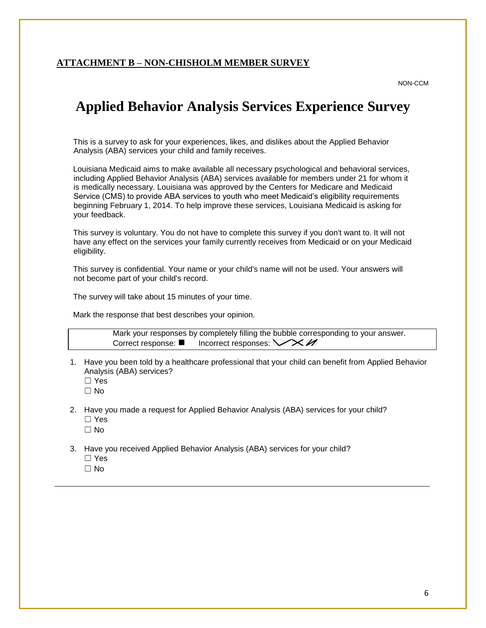#### **ATTACHMENT B – NON-CHISHOLM MEMBER SURVEY**

NON-CCM

# **Applied Behavior Analysis Services Experience Survey**

This is a survey to ask for your experiences, likes, and dislikes about the Applied Behavior Analysis (ABA) services your child and family receives.

Louisiana Medicaid aims to make available all necessary psychological and behavioral services, including Applied Behavior Analysis (ABA) services available for members under 21 for whom it is medically necessary. Louisiana was approved by the Centers for Medicare and Medicaid Service (CMS) to provide ABA services to youth who meet Medicaid's eligibility requirements beginning February 1, 2014. To help improve these services, Louisiana Medicaid is asking for your feedback.

This survey is voluntary. You do not have to complete this survey if you don't want to. It will not have any effect on the services your family currently receives from Medicaid or on your Medicaid eligibility.

This survey is confidential. Your name or your child's name will not be used. Your answers will not become part of your child's record.

The survey will take about 15 minutes of your time.

Mark the response that best describes your opinion.

Mark your responses by completely filling the bubble corresponding to your answer. Correct response:  $\blacksquare$  Incorrect responses:  $\bigtriangledown \otimes \mathscr{A}$ 

- 1. Have you been told by a healthcare professional that your child can benefit from Applied Behavior Analysis (ABA) services?
	- ☐ Yes
	- ☐ No
- 2. Have you made a request for Applied Behavior Analysis (ABA) services for your child?
	- ☐ Yes
	- ☐ No
- 3. Have you received Applied Behavior Analysis (ABA) services for your child?
	- ☐ Yes
	- ☐ No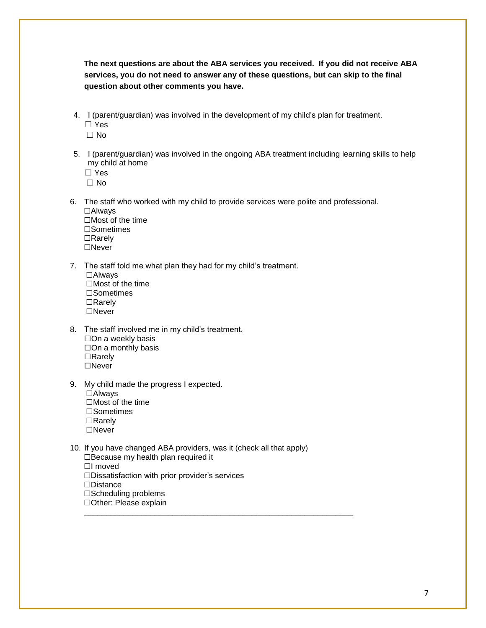**The next questions are about the ABA services you received. If you did not receive ABA services, you do not need to answer any of these questions, but can skip to the final question about other comments you have.**

4. I (parent/guardian) was involved in the development of my child's plan for treatment. ☐ Yes

☐ No

5. I (parent/guardian) was involved in the ongoing ABA treatment including learning skills to help my child at home

☐ Yes

 $\Box$  No

- 6. The staff who worked with my child to provide services were polite and professional.
	- ☐Always ☐Most of the time ☐Sometimes ☐Rarely ☐Never
- 7. The staff told me what plan they had for my child's treatment. ☐Always ☐Most of the time ☐Sometimes ☐Rarely ☐Never
- 8. The staff involved me in my child's treatment. ☐On a weekly basis ☐On a monthly basis ☐Rarely ☐Never
- 9. My child made the progress I expected. ☐Always ☐Most of the time ☐Sometimes ☐Rarely ☐Never
- 10. If you have changed ABA providers, was it (check all that apply) ☐Because my health plan required it ☐I moved ☐Dissatisfaction with prior provider's services ☐Distance ☐Scheduling problems ☐Other: Please explain

\_\_\_\_\_\_\_\_\_\_\_\_\_\_\_\_\_\_\_\_\_\_\_\_\_\_\_\_\_\_\_\_\_\_\_\_\_\_\_\_\_\_\_\_\_\_\_\_\_\_\_\_\_\_\_\_\_\_\_\_\_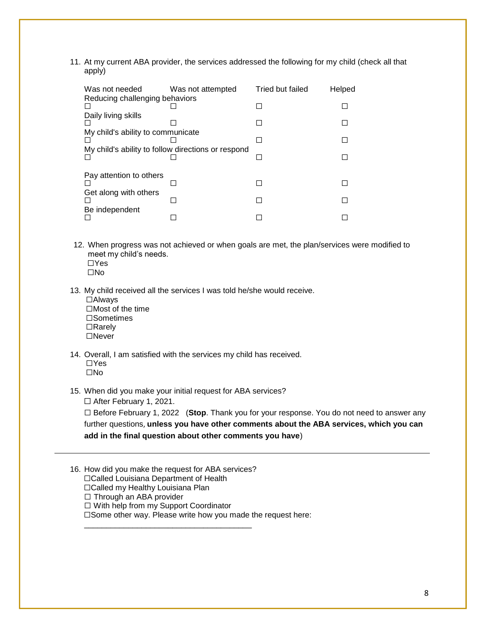11. At my current ABA provider, the services addressed the following for my child (check all that apply)

| Was not needed                                     | Was not attempted | Tried but failed | Helped |  |
|----------------------------------------------------|-------------------|------------------|--------|--|
| Reducing challenging behaviors                     |                   |                  |        |  |
| Daily living skills                                |                   |                  |        |  |
|                                                    |                   |                  |        |  |
| My child's ability to communicate                  |                   |                  |        |  |
|                                                    |                   |                  |        |  |
| My child's ability to follow directions or respond |                   |                  |        |  |
|                                                    |                   |                  |        |  |
|                                                    |                   |                  |        |  |
| Pay attention to others                            |                   |                  |        |  |
|                                                    |                   |                  |        |  |
| Get along with others                              |                   |                  |        |  |
|                                                    |                   |                  |        |  |
| Be independent                                     |                   |                  |        |  |
|                                                    |                   |                  |        |  |

- 12. When progress was not achieved or when goals are met, the plan/services were modified to meet my child's needs. ☐Yes
	- ☐No
- 13. My child received all the services I was told he/she would receive.

| $\Box$ Always           |
|-------------------------|
| $\Box$ Most of the time |
| $\square$ Sometimes     |
| $\Box$ Rarely           |
| $\Box$ Never            |

- 14. Overall, I am satisfied with the services my child has received. ☐Yes ☐No
- 15. When did you make your initial request for ABA services?

☐ After February 1, 2021.

☐ Before February 1, 2022 (**Stop**. Thank you for your response. You do not need to answer any further questions, **unless you have other comments about the ABA services, which you can add in the final question about other comments you have**)

16. How did you make the request for ABA services?

- ☐Called Louisiana Department of Health
- ☐Called my Healthy Louisiana Plan

□ Through an ABA provider

☐ With help from my Support Coordinator

\_\_\_\_\_\_\_\_\_\_\_\_\_\_\_\_\_\_\_\_\_\_\_\_\_\_\_\_\_\_\_\_\_\_\_\_\_\_

☐Some other way. Please write how you made the request here: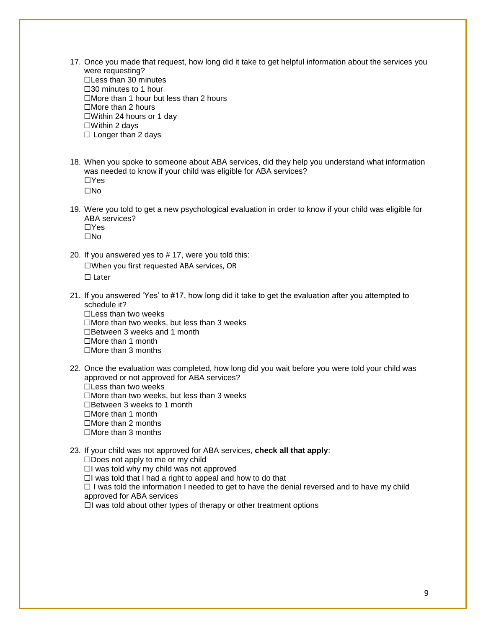17. Once you made that request, how long did it take to get helpful information about the services you were requesting?

☐Less than 30 minutes ☐30 minutes to 1 hour ☐More than 1 hour but less than 2 hours ☐More than 2 hours ☐Within 24 hours or 1 day ☐Within 2 days □ Longer than 2 days

- 18. When you spoke to someone about ABA services, did they help you understand what information was needed to know if your child was eligible for ABA services? ☐Yes ☐No
- 19. Were you told to get a new psychological evaluation in order to know if your child was eligible for ABA services? ☐Yes ☐No
- 20. If you answered yes to # 17, were you told this: ☐When you first requested ABA services, OR ☐ Later
- 21. If you answered 'Yes' to #17, how long did it take to get the evaluation after you attempted to schedule it? ☐Less than two weeks ☐More than two weeks, but less than 3 weeks
	- ☐Between 3 weeks and 1 month
	- ☐More than 1 month
	- ☐More than 3 months
- 22. Once the evaluation was completed, how long did you wait before you were told your child was approved or not approved for ABA services? ☐Less than two weeks
	- ☐More than two weeks, but less than 3 weeks
	- ☐Between 3 weeks to 1 month
	- ☐More than 1 month
	- ☐More than 2 months
	- ☐More than 3 months
- 23. If your child was not approved for ABA services, **check all that apply**:

☐Does not apply to me or my child

☐I was told why my child was not approved

☐I was told that I had a right to appeal and how to do that

 $\Box$  I was told the information I needed to get to have the denial reversed and to have my child approved for ABA services

☐I was told about other types of therapy or other treatment options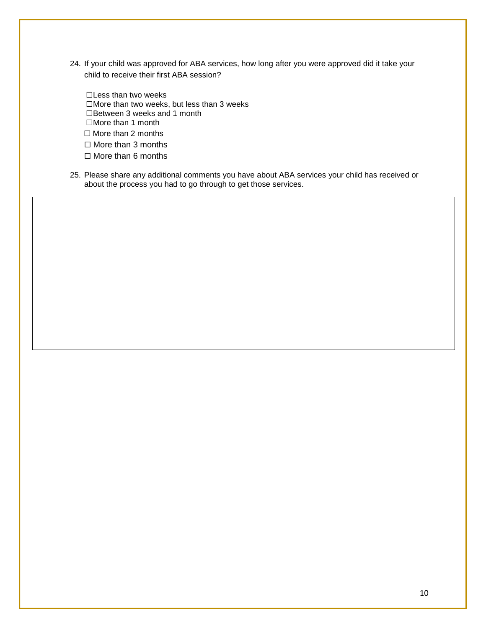- 24. If your child was approved for ABA services, how long after you were approved did it take your child to receive their first ABA session?
	- ☐Less than two weeks ☐More than two weeks, but less than 3 weeks ☐Between 3 weeks and 1 month ☐More than 1 month ☐ More than 2 months ☐ More than 3 months

☐ More than 6 months

25. Please share any additional comments you have about ABA services your child has received or about the process you had to go through to get those services.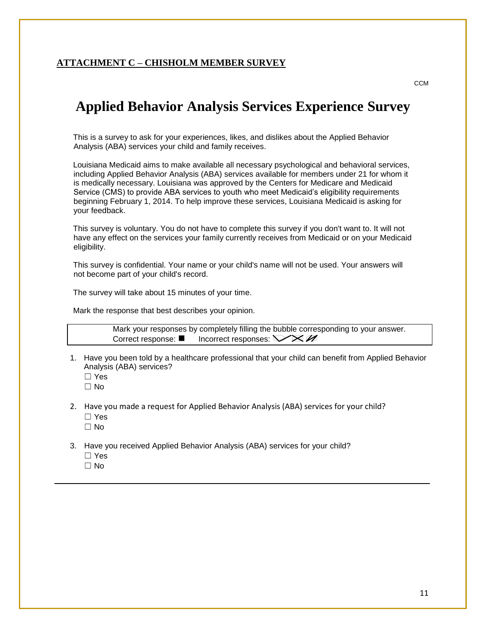#### **ATTACHMENT C – CHISHOLM MEMBER SURVEY**

**CCM** 

# **Applied Behavior Analysis Services Experience Survey**

This is a survey to ask for your experiences, likes, and dislikes about the Applied Behavior Analysis (ABA) services your child and family receives.

Louisiana Medicaid aims to make available all necessary psychological and behavioral services, including Applied Behavior Analysis (ABA) services available for members under 21 for whom it is medically necessary. Louisiana was approved by the Centers for Medicare and Medicaid Service (CMS) to provide ABA services to youth who meet Medicaid's eligibility requirements beginning February 1, 2014. To help improve these services, Louisiana Medicaid is asking for your feedback.

This survey is voluntary. You do not have to complete this survey if you don't want to. It will not have any effect on the services your family currently receives from Medicaid or on your Medicaid eligibility.

This survey is confidential. Your name or your child's name will not be used. Your answers will not become part of your child's record.

The survey will take about 15 minutes of your time.

Mark the response that best describes your opinion.

Mark your responses by completely filling the bubble corresponding to your answer. Correct response:  $\blacksquare$  Incorrect responses:  $\bigtriangledown \otimes \mathscr{A}$ 

- 1. Have you been told by a healthcare professional that your child can benefit from Applied Behavior Analysis (ABA) services?
	- ☐ Yes
	- ☐ No
- 2. Have you made a request for Applied Behavior Analysis (ABA) services for your child?
	- ☐ Yes
	- ☐ No
- 3. Have you received Applied Behavior Analysis (ABA) services for your child?
	- ☐ Yes
	- ☐ No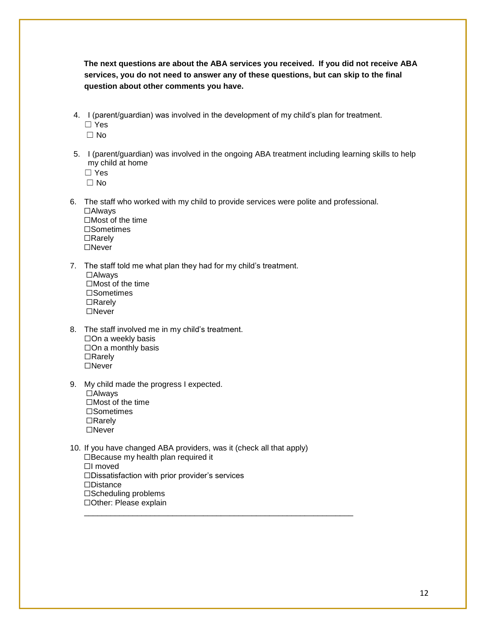**The next questions are about the ABA services you received. If you did not receive ABA services, you do not need to answer any of these questions, but can skip to the final question about other comments you have.**

4. I (parent/guardian) was involved in the development of my child's plan for treatment. ☐ Yes

☐ No

5. I (parent/guardian) was involved in the ongoing ABA treatment including learning skills to help my child at home

☐ Yes

 $\Box$  No

- 6. The staff who worked with my child to provide services were polite and professional.
	- ☐Always ☐Most of the time ☐Sometimes ☐Rarely ☐Never
- 7. The staff told me what plan they had for my child's treatment. ☐Always ☐Most of the time ☐Sometimes ☐Rarely ☐Never
- 8. The staff involved me in my child's treatment. ☐On a weekly basis ☐On a monthly basis ☐Rarely ☐Never
- 9. My child made the progress I expected. ☐Always ☐Most of the time ☐Sometimes ☐Rarely ☐Never
- 10. If you have changed ABA providers, was it (check all that apply) ☐Because my health plan required it ☐I moved ☐Dissatisfaction with prior provider's services ☐Distance ☐Scheduling problems

☐Other: Please explain \_\_\_\_\_\_\_\_\_\_\_\_\_\_\_\_\_\_\_\_\_\_\_\_\_\_\_\_\_\_\_\_\_\_\_\_\_\_\_\_\_\_\_\_\_\_\_\_\_\_\_\_\_\_\_\_\_\_\_\_\_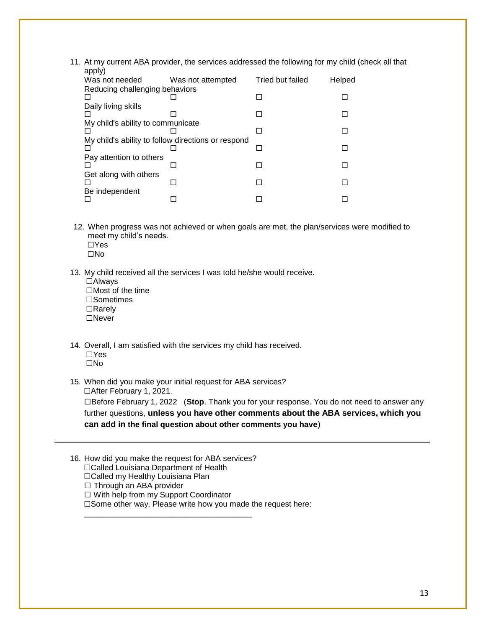11. At my current ABA provider, the services addressed the following for my child (check all that  $anh(y)$ 

| appiy)                                             |                   |                  |        |  |
|----------------------------------------------------|-------------------|------------------|--------|--|
| Was not needed                                     | Was not attempted | Tried but failed | Helped |  |
| Reducing challenging behaviors                     |                   |                  |        |  |
|                                                    |                   |                  |        |  |
| Daily living skills                                |                   |                  |        |  |
|                                                    |                   |                  |        |  |
| My child's ability to communicate                  |                   |                  |        |  |
|                                                    |                   |                  |        |  |
| My child's ability to follow directions or respond |                   |                  |        |  |
|                                                    |                   |                  |        |  |
| Pay attention to others                            |                   |                  |        |  |
|                                                    |                   |                  |        |  |
| Get along with others                              |                   |                  |        |  |
|                                                    |                   |                  |        |  |
| Be independent                                     |                   |                  |        |  |
|                                                    |                   |                  |        |  |
|                                                    |                   |                  |        |  |

12. When progress was not achieved or when goals are met, the plan/services were modified to meet my child's needs.

☐Yes ☐No

- 13. My child received all the services I was told he/she would receive. ☐Always ☐Most of the time ☐Sometimes ☐Rarely ☐Never
- 14. Overall, I am satisfied with the services my child has received. ☐Yes ☐No
- 15. When did you make your initial request for ABA services? ☐After February 1, 2021.

☐Before February 1, 2022 (**Stop**. Thank you for your response. You do not need to answer any further questions, **unless you have other comments about the ABA services, which you can add in the final question about other comments you have**)

- 16. How did you make the request for ABA services?
	- ☐Called Louisiana Department of Health
	- ☐Called my Healthy Louisiana Plan
	- □ Through an ABA provider
	- ☐ With help from my Support Coordinator

\_\_\_\_\_\_\_\_\_\_\_\_\_\_\_\_\_\_\_\_\_\_\_\_\_\_\_\_\_\_\_\_\_\_\_\_\_\_

☐Some other way. Please write how you made the request here: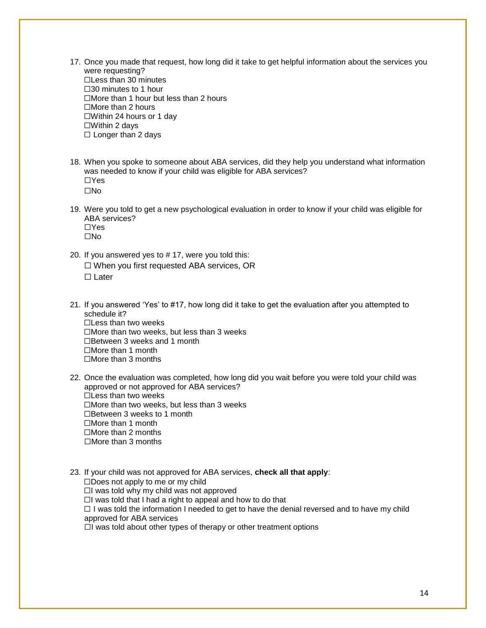17. Once you made that request, how long did it take to get helpful information about the services you were requesting?

☐Less than 30 minutes ☐30 minutes to 1 hour ☐More than 1 hour but less than 2 hours ☐More than 2 hours ☐Within 24 hours or 1 day ☐Within 2 days □ Longer than 2 days

- 18. When you spoke to someone about ABA services, did they help you understand what information was needed to know if your child was eligible for ABA services? ☐Yes ☐No
- 19. Were you told to get a new psychological evaluation in order to know if your child was eligible for ABA services? ☐Yes ☐No
- 20. If you answered yes to # 17, were you told this: ☐ When you first requested ABA services, OR ☐ Later
- 21. If you answered 'Yes' to #17, how long did it take to get the evaluation after you attempted to schedule it?
	- ☐Less than two weeks
	- ☐More than two weeks, but less than 3 weeks
	- ☐Between 3 weeks and 1 month
	- ☐More than 1 month
	- ☐More than 3 months
- 22. Once the evaluation was completed, how long did you wait before you were told your child was approved or not approved for ABA services?
	- $\Box$  Less than two weeks
	- ☐More than two weeks, but less than 3 weeks
	- ☐Between 3 weeks to 1 month
	- ☐More than 1 month
	- ☐More than 2 months
	- ☐More than 3 months
- 23. If your child was not approved for ABA services, **check all that apply**:

 $\square$ Does not apply to me or my child

 $\Box$ I was told why my child was not approved

 $\Box$ I was told that I had a right to appeal and how to do that

 $\Box$  I was told the information I needed to get to have the denial reversed and to have my child approved for ABA services

 $\Box$ I was told about other types of therapy or other treatment options